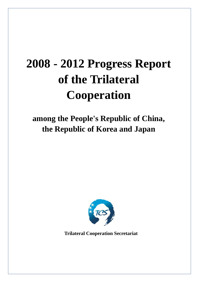# **2008 - 2012 Progress Report of the Trilateral Cooperation**

## **among the People's Republic of China, the Republic of Korea and Japan**



**Trilateral Cooperation Secretariat**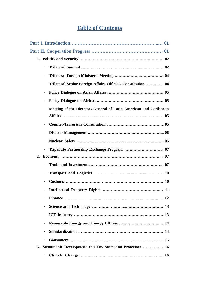## **Table of Contents**

|    | Trilateral Senior Foreign Affairs Officials Consultation 04      |  |
|----|------------------------------------------------------------------|--|
|    |                                                                  |  |
|    |                                                                  |  |
|    | Meeting of the Directors-General of Latin American and Caribbean |  |
|    |                                                                  |  |
|    |                                                                  |  |
|    |                                                                  |  |
|    |                                                                  |  |
|    |                                                                  |  |
| 2. |                                                                  |  |
|    |                                                                  |  |
|    |                                                                  |  |
|    |                                                                  |  |
|    | 11                                                               |  |
|    |                                                                  |  |
|    |                                                                  |  |
|    |                                                                  |  |
|    |                                                                  |  |
|    | $\qquad \qquad \blacksquare$                                     |  |
|    | $\blacksquare$                                                   |  |
|    | 3. Sustainable Development and Environmental Protection  16      |  |
|    |                                                                  |  |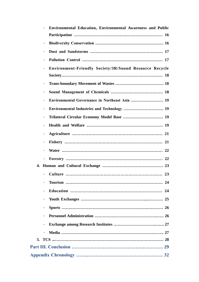|    |                              | <b>Environmental Education, Environmental Awareness and Public</b> |
|----|------------------------------|--------------------------------------------------------------------|
|    |                              |                                                                    |
|    | Ξ.                           |                                                                    |
|    | $\blacksquare$               |                                                                    |
|    | $\blacksquare$               |                                                                    |
|    | 4                            | <b>Environment-Friendly Society/3R/Sound Resource Recycle</b>      |
|    |                              |                                                                    |
|    | $\blacksquare$               |                                                                    |
|    | -                            |                                                                    |
|    |                              |                                                                    |
|    | 4                            |                                                                    |
|    |                              |                                                                    |
|    |                              |                                                                    |
|    |                              |                                                                    |
|    | $\blacksquare$               |                                                                    |
|    |                              |                                                                    |
|    | $\overline{\phantom{0}}$     |                                                                    |
|    |                              |                                                                    |
|    |                              |                                                                    |
|    |                              |                                                                    |
|    |                              |                                                                    |
|    |                              |                                                                    |
|    |                              |                                                                    |
|    |                              |                                                                    |
|    | $\qquad \qquad \blacksquare$ |                                                                    |
|    | $\blacksquare$               |                                                                    |
| 5. |                              |                                                                    |
|    |                              |                                                                    |
|    |                              |                                                                    |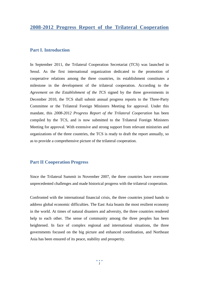#### **Part I. Introduction**

In September 2011, the Trilateral Cooperation Secretariat (TCS) was launched in Seoul. As the first international organization dedicated to the promotion of cooperative relations among the three countries, its establishment constitutes a milestone in the development of the trilateral cooperation. According to the *Agreement on the Establishment of the TCS* signed by the three governments in December 2010, the TCS shall submit annual progress reports to the Three-Party Committee or the Trilateral Foreign Ministers Meeting for approval. Under this mandate, this *2008-2012 Progress Report of the Trilateral Cooperation* has been compiled by the TCS, and is now submitted to the Trilateral Foreign Ministers Meeting for approval. With extensive and strong support from relevant ministries and organizations of the three countries, the TCS is ready to draft the report annually, so as to provide a comprehensive picture of the trilateral cooperation.

#### **Part II Cooperation Progress**

Since the Trilateral Summit in November 2007, the three countries have overcome unprecedented challenges and made historical progress with the trilateral cooperation.

Confronted with the international financial crisis, the three countries joined hands to address global economic difficulties. The East Asia boasts the most resilient economy in the world. At times of natural disasters and adversity, the three countries rendered help to each other. The sense of community among the three peoples has been heightened. In face of complex regional and international situations, the three governments focused on the big picture and enhanced coordination, and Northeast Asia has been ensured of its peace, stability and prosperity.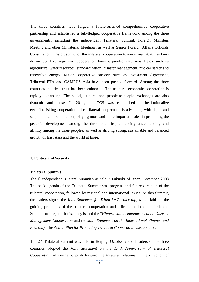The three countries have forged a future-oriented comprehensive cooperative partnership and established a full-fledged cooperative framework among the three governments, including the independent Trilateral Summit, Foreign Ministers Meeting and other Ministerial Meetings, as well as Senior Foreign Affairs Officials Consultation. The blueprint for the trilateral cooperation towards year 2020 has been drawn up. Exchange and cooperation have expanded into new fields such as agriculture, water resources, standardization, disaster management, nuclear safety and renewable energy. Major cooperative projects such as Investment Agreement, Trilateral FTA and CAMPUS Asia have been pushed forward. Among the three countries, political trust has been enhanced. The trilateral economic cooperation is rapidly expanding. The social, cultural and people-to-people exchanges are also dynamic and close. In 2011, the TCS was established to institutionalize ever-flourishing cooperation. The trilateral cooperation is advancing with depth and scope in a concrete manner, playing more and more important roles in promoting the peaceful development among the three countries, enhancing understanding and affinity among the three peoples, as well as driving strong, sustainable and balanced growth of East Asia and the world at large.

#### **1. Politics and Security**

#### **Trilateral Summit**

The 1<sup>st</sup> independent Trilateral Summit was held in Fukuoka of Japan, December, 2008. The basic agenda of the Trilateral Summit was progress and future direction of the trilateral cooperation, followed by regional and international issues. At this Summit, the leaders signed the *Joint Statement for Tripartite Partnership,* which laid out the guiding principles of the trilateral cooperation and affirmed to hold the Trilateral Summit on a regular basis. They issued the *Trilateral Joint Announcement on Disaster Management Cooperation* and the *Joint Statement on the International Finance and Economy.* The *Action Plan for Promoting Trilateral Cooperation* was adopted.

The 2<sup>nd</sup> Trilateral Summit was held in Beijing, October 2009. Leaders of the three countries adopted the *Joint Statement on the Tenth Anniversary of Trilateral Cooperation*, affirming to push forward the trilateral relations in the direction of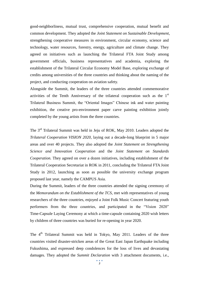good-neighborliness, mutual trust, comprehensive cooperation, mutual benefit and common development. They adopted the *Joint Statement on Sustainable Development*, strengthening cooperative measures in environment, circular economy, science and technology, water resources, forestry, energy, agriculture and climate change. They agreed on initiatives such as launching the Trilateral FTA Joint Study among government officials, business representatives and academia, exploring the establishment of the Trilateral Circular Economy Model Base, exploring exchange of credits among universities of the three countries and thinking about the naming of the project, and conducting cooperation on aviation safety.

Alongside the Summit, the leaders of the three countries attended commemorative activities of the Tenth Anniversary of the trilateral cooperation such as the  $1<sup>st</sup>$ Trilateral Business Summit, the "Oriental Images" Chinese ink and water painting exhibition, the creative pro-environment paper carve painting exhibition jointly completed by the young artists from the three countries.

The 3rd Trilateral Summit was held in Jeju of ROK, May 2010. Leaders adopted the *Trilateral Cooperation VISION 2020*, laying out a decade-long blueprint in 5 major areas and over 40 projects. They also adopted the *Joint Statement on Strengthening Science and Innovation Cooperation* and the *Joint Statement on Standards Cooperation.* They agreed on over a dozen initiatives, including establishment of the Trilateral Cooperation Secretariat in ROK in 2011, concluding the Trilateral FTA Joint Study in 2012, launching as soon as possible the university exchange program proposed last year, namely the CAMPUS Asia.

During the Summit, leaders of the three countries attended the signing ceremony of the *Memorandum on the Establishment of the TCS*, met with representatives of young researchers of the three countries, enjoyed a Joint Folk Music Concert featuring youth performers from the three countries, and participated in the "Vision 2020" Time-Capsule Laying Ceremony at which a time-capsule containing 2020 wish letters by children of three countries was buried for re-opening in year 2020.

The 4<sup>th</sup> Trilateral Summit was held in Tokyo, May 2011. Leaders of the three countries visited disaster-stricken areas of the Great East Japan Earthquake including Fukushima, and expressed deep condolences for the loss of lives and devastating damages. They adopted the *Summit Declaration* with 3 attachment documents, i.e.,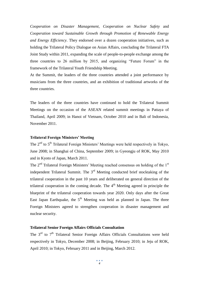*Cooperation on Disaster Management*, *Cooperation on Nuclear Safety* and *Cooperation toward Sustainable Growth through Promotion of Renewable Energy and Energy Efficiency*. They endorsed over a dozen cooperation initiatives, such as holding the Trilateral Policy Dialogue on Asian Affairs, concluding the Trilateral FTA Joint Study within 2011, expanding the scale of people-to-people exchange among the three countries to 26 million by 2015, and organizing "Future Forum" in the framework of the Trilateral Youth Friendship Meeting.

At the Summit, the leaders of the three countries attended a joint performance by musicians from the three countries, and an exhibition of traditional artworks of the three countries.

The leaders of the three countries have continued to hold the Trilateral Summit Meetings on the occasion of the ASEAN related summit meetings in Pattaya of Thailand, April 2009; in Hanoi of Vietnam, October 2010 and in Bali of Indonesia, November 2011.

#### **Trilateral Foreign Ministers' Meeting**

The 2<sup>nd</sup> to 5<sup>th</sup> Trilateral Foreign Ministers' Meetings were held respectively in Tokyo, June 2008; in Shanghai of China, September 2009; in Gyeongju of ROK, May 2010 and in Kyoto of Japan, March 2011.

The  $2<sup>nd</sup>$  Trilateral Foreign Ministers' Meeting reached consensus on holding of the  $1<sup>st</sup>$ independent Trilateral Summit. The  $3<sup>rd</sup>$  Meeting conducted brief stocktaking of the trilateral cooperation in the past 10 years and deliberated on general direction of the trilateral cooperation in the coming decade. The  $4<sup>th</sup>$  Meeting agreed in principle the blueprint of the trilateral cooperation towards year 2020. Only days after the Great East Japan Earthquake, the  $5<sup>th</sup>$  Meeting was held as planned in Japan. The three Foreign Ministers agreed to strengthen cooperation in disaster management and nuclear security.

#### **Trilateral Senior Foreign Affairs Officials Consultation**

The  $3<sup>rd</sup>$  to  $7<sup>th</sup>$  Trilateral Senior Foreign Affairs Officials Consultations were held respectively in Tokyo, December 2008; in Beijing, February 2010; in Jeju of ROK, April 2010; in Tokyo, February 2011 and in Beijing, March 2012.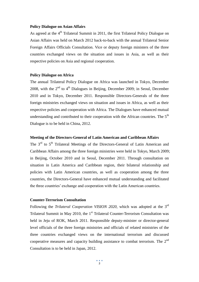#### **Policy Dialogue on Asian Affairs**

As agreed at the  $4<sup>th</sup>$  Trilateral Summit in 2011, the first Trilateral Policy Dialogue on Asian Affairs was held on March 2012 back-to-back with the annual Trilateral Senior Foreign Affairs Officials Consultation. Vice or deputy foreign ministers of the three countries exchanged views on the situation and issues in Asia, as well as their respective policies on Asia and regional cooperation.

#### **Policy Dialogue on Africa**

The annual Trilateral Policy Dialogue on Africa was launched in Tokyo, December 2008, with the  $2<sup>nd</sup>$  to  $4<sup>th</sup>$  Dialogues in Beijing, December 2009; in Seoul, December 2010 and in Tokyo, December 2011. Responsible Directors-Generals of the three foreign ministries exchanged views on situation and issues in Africa, as well as their respective policies and cooperation with Africa. The Dialogues have enhanced mutual understanding and contributed to their cooperation with the African countries. The  $5<sup>th</sup>$ Dialogue is to be held in China, 2012.

#### **Meeting of the Directors-General of Latin American and Caribbean Affairs**

The 3<sup>rd</sup> to 5<sup>th</sup> Trilateral Meetings of the Directors-General of Latin American and Caribbean Affairs among the three foreign ministries were held in Tokyo, March 2009; in Beijing, October 2010 and in Seoul, December 2011. Through consultation on situation in Latin America and Caribbean region, their bilateral relationship and policies with Latin American countries, as well as cooperation among the three countries, the Directors-General have enhanced mutual understanding and facilitated the three countries' exchange and cooperation with the Latin American countries.

#### **Counter-Terrorism Consultation**

Following the *Trilateral Cooperation VISION 2020*, which was adopted at the 3<sup>rd</sup> Trilateral Summit in May 2010, the 1<sup>st</sup> Trilateral Counter-Terrorism Consultation was held in Jeju of ROK, March 2011. Responsible deputy-minister or director-general level officials of the three foreign ministries and officials of related ministries of the three countries exchanged views on the international terrorism and discussed cooperative measures and capacity building assistance to combat terrorism. The  $2<sup>nd</sup>$ Consultation is to be held in Japan, 2012.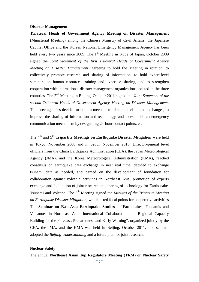#### **Disaster Management**

**Trilateral Heads of Government Agency Meeting on Disaster Management** (Ministerial Meeting) among the Chinese Ministry of Civil Affairs, the Japanese Cabinet Office and the Korean National Emergency Management Agency has been held every two years since 2009. The  $1<sup>st</sup>$  Meeting in Kobe of Japan, October 2009 signed the *Joint Statement of the first Trilateral Heads of Government Agency Meeting on Disaster Management*, agreeing to hold the Meeting in rotation, to collectively promote research and sharing of information, to hold expert-level seminars on human resources training and expertise sharing, and to strengthen cooperation with international disaster management organizations located in the three countries. The 2nd Meeting in Beijing, October 2011 signed the *Joint Statement of the second Trilateral Heads of Government Agency Meeting on Disaster Management*. The three agencies decided to build a mechanism of mutual visits and exchanges, to improve the sharing of information and technology, and to establish an emergency communication mechanism by designating 24-hour contact points, etc.

The 4<sup>th</sup> and 5<sup>th</sup> **Tripartite Meetings on Earthquake Disaster Mitigation** were held in Tokyo, November 2008 and in Seoul, November 2010. Director-general level officials from the China Earthquake Administration (CEA), the Japan Meteorological Agency (JMA), and the Korea Meteorological Administration (KMA), reached consensus on earthquake data exchange in near real time, decided to exchange tsunami data as needed, and agreed on the development of foundation for collaboration against volcanic activities in Northeast Asia, promotion of experts exchange and facilitation of joint research and sharing of technology for Earthquake, Tsunami and Volcano. The 5<sup>th</sup> Meeting signed the *Minutes of the Tripartite Meeting on Earthquake Disaster Mitigation,* which listed focal points for cooperative activities. The **Seminar on East-Asia Earthquake Studies** – "Earthquakes, Tsunamis and Volcanoes in Northeast Asia: International Collaboration and Regional Capacity Building for the Forecast, Preparedness and Early Warning", organized jointly by the CEA, the JMA, and the KMA was held in Beijing, October 2011. The seminar adopted the *Beijing Understanding* and a future plan for joint research.

#### **Nuclear Safety**

The annual **Northeast Asian Top Regulators Meeting (TRM) on Nuclear Safety**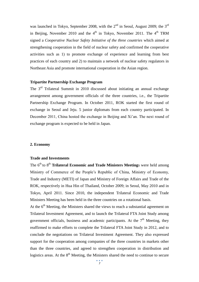was launched in Tokyo, September 2008, with the  $2<sup>nd</sup>$  in Seoul, August 2009; the  $3<sup>rd</sup>$ in Beijing, November 2010 and the  $4<sup>th</sup>$  in Tokyo, November 2011. The  $4<sup>th</sup>$  TRM signed a *Cooperative Nuclear Safety Initiative of the three countries* which aimed at strengthening cooperation in the field of nuclear safety and confirmed the cooperative activities such as 1) to promote exchange of experience and learning from best practices of each country and 2) to maintain a network of nuclear safety regulators in Northeast Asia and promote international cooperation in the Asian region.

#### **Tripartite Partnership Exchange Program**

The 3rd Trilateral Summit in 2010 discussed about initiating an annual exchange arrangement among government officials of the three countries, i.e., the Tripartite Partnership Exchange Program. In October 2011, ROK started the first round of exchange in Seoul and Jeju. 5 junior diplomats from each country participated. In December 2011, China hosted the exchange in Beijing and Xi'an. The next round of exchange program is expected to be held in Japan.

#### **2. Economy**

#### **Trade and Investments**

The 6<sup>th</sup> to 8<sup>th</sup> Trilateral Economic and Trade Ministers Meetings were held among Ministry of Commerce of the People's Republic of China, Ministry of Economy, Trade and Industry (METI) of Japan and Ministry of Foreign Affairs and Trade of the ROK, respectively in Hua Hin of Thailand, October 2009; in Seoul, May 2010 and in Tokyo, April 2011. Since 2010, the independent Trilateral Economic and Trade Ministers Meeting has been held in the three countries on a rotational basis.

At the 6<sup>th</sup> Meeting, the Ministers shared the views to reach a substantial agreement on Trilateral Investment Agreement, and to launch the Trilateral FTA Joint Study among government officials, business and academic participants. At the  $7<sup>th</sup>$  Meeting, they reaffirmed to make efforts to complete the Trilateral FTA Joint Study in 2012, and to conclude the negotiations on Trilateral Investment Agreement. They also expressed support for the cooperation among companies of the three countries in markets other than the three countries, and agreed to strengthen cooperation in distribution and logistics areas. At the  $8<sup>th</sup>$  Meeting, the Ministers shared the need to continue to secure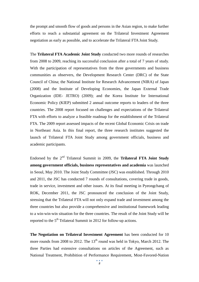the prompt and smooth flow of goods and persons in the Asian region, to make further efforts to reach a substantial agreement on the Trilateral Investment Agreement negotiation as early as possible, and to accelerate the Trilateral FTA Joint Study.

The **Trilateral FTA Academic Joint Study** conducted two more rounds of researches from 2008 to 2009, reaching its successful conclusion after a total of 7 years of study. With the participation of representatives from the three governments and business communities as observers, the Development Research Center (DRC) of the State Council of China; the National Institute for Research Advancement (NIRA) of Japan (2008) and the Institute of Developing Economies, the Japan External Trade Organization (IDE- JETRO) (2009); and the Korea Institute for International Economic Policy (KIEP) submitted 2 annual outcome reports to leaders of the three countries. The 2008 report focused on challenges and expectations of the Trilateral FTA with efforts to analyze a feasible roadmap for the establishment of the Trilateral FTA. The 2009 report assessed impacts of the recent Global Economic Crisis on trade in Northeast Asia. In this final report, the three research institutes suggested the launch of Trilateral FTA Joint Study among government officials, business and academic participants.

Endorsed by the 2nd Trilateral Summit in 2009, the **Trilateral FTA Joint Study among government officials, business representatives and academia** was launched in Seoul, May 2010. The Joint Study Committee (JSC) was established. Through 2010 and 2011, the JSC has conducted 7 rounds of consultations, covering trade in goods, trade in service, investment and other issues. At its final meeting in Pyeongchang of ROK, December 2011, the JSC pronounced the conclusion of the Joint Study, stressing that the Trilateral FTA will not only expand trade and investment among the three countries but also provide a comprehensive and institutional framework leading to a win-win-win situation for the three countries. The result of the Joint Study will be reported to the  $5<sup>th</sup>$  Trilateral Summit in 2012 for follow-up actions.

**The Negotiation on Trilateral Investment Agreement** has been conducted for 10 more rounds from 2008 to 2012. The  $13<sup>th</sup>$  round was held in Tokyo, March 2012. The three Parties had extensive consultations on articles of the Agreement, such as National Treatment, Prohibition of Performance Requirement, Most-Favored-Nation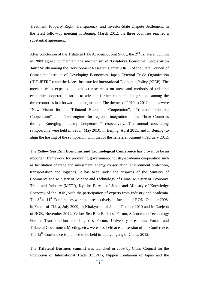Treatment, Property Right, Transparency, and Investor-State Dispute Settlement. In the latest follow-up meeting in Beijing, March 2012, the three countries reached a substantial agreement.

After conclusion of the Trilateral FTA Academic Joint Study, the  $2<sup>nd</sup>$  Trilateral Summit in 2009 agreed to maintain the mechanism of **Trilateral Economic Cooperation Joint Study** among the Development Research Center (DRC) of the State Council of China; the Institute of Developing Economies, Japan External Trade Organization (IDE-JETRO); and the Korea Institute for International Economic Policy (KIEP). The mechanism is expected to conduct researches on areas and methods of trilateral economic cooperation, so as to advance further economic integrations among the three countries in a forward looking manner. The themes of 2010 to 2012 studies were "New Vision for the Trilateral Economic Cooperation", "Trilateral Industrial Cooperation" and "New engines for regional integration in the Three Countries through Emerging Industry Cooperation" respectively. The annual concluding symposiums were held in Seoul, May 2010; in Beijing, April 2011; and in Beijing (to align the hosting of the symposium with that of the Trilateral Summit), February 2012.

The **Yellow Sea Rim Economic and Technological Conference** has proven to be an important framework for promoting government-industry-academia cooperation such as facilitation of trade and investment, energy conservation, environment protection, transportation and logistics. It has been under the auspices of the Ministry of Commerce and Ministry of Science and Technology of China, Ministry of Economy, Trade and Industry (METI), Kyushu Bureau of Japan and Ministry of Knowledge Economy of the ROK, with the participation of experts from industry and academia. The  $8<sup>th</sup>$  to  $11<sup>th</sup>$  Conferences were held respectively in Incheon of ROK, October 2008; in Yantai of China, July 2009; in Kitakyushu of Japan, October 2010 and in Daejeon of ROK, November 2011. Yellow Sea Rim Business Forum, Science and Technology Forum, Transportation and Logistics Forum, University Presidents Forum and Trilateral Government Meeting, etc., were also held at each session of the Conference. The  $12<sup>th</sup>$  Conference is planned to be held in Lianyungang of China, 2012.

The **Trilateral Business Summit** was launched in 2009 by China Council for the Promotion of International Trade (CCPIT), Nippon Keidanren of Japan and the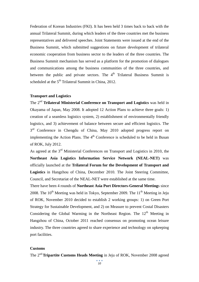Federation of Korean Industries (FKI). It has been held 3 times back to back with the annual Trilateral Summit, during which leaders of the three countries met the business representatives and delivered speeches. Joint Statements were issued at the end of the Business Summit, which submitted suggestions on future development of trilateral economic cooperation from business sector to the leaders of the three countries. The Business Summit mechanism has served as a platform for the promotion of dialogues and communications among the business communities of the three countries, and between the public and private sectors. The  $4<sup>th</sup>$  Trilateral Business Summit is scheduled at the  $5<sup>th</sup>$  Trilateral Summit in China, 2012.

#### **Transport and Logistics**

The 2nd **Trilateral Ministerial Conference on Transport and Logistics** was held in Okayama of Japan, May 2008. It adopted 12 Action Plans to achieve three goals: 1) creation of a seamless logistics system, 2) establishment of environmentally friendly logistics, and 3) achievement of balance between secure and efficient logistics. The 3<sup>rd</sup> Conference in Chengdu of China, May 2010 adopted progress report on implementing the Action Plans. The  $4<sup>th</sup>$  Conference is scheduled to be held in Busan of ROK, July 2012.

As agreed at the 3<sup>rd</sup> Ministerial Conferences on Transport and Logistics in 2010, the **Northeast Asia Logistics Information Service Network (NEAL-NET)** was officially launched at the **Trilateral Forum for the Development of Transport and Logistics** in Hangzhou of China, December 2010. The Joint Steering Committee, Council, and Secretariat of the NEAL-NET were established at the same time.

There have been 4 rounds of **Northeast Asia Port Directors-General Meeting**s since 2008. The  $10^{th}$  Meeting was held in Tokyo, September 2009. The  $11^{th}$  Meeting in Jeju of ROK, November 2010 decided to establish 2 working groups: 1) on Green Port Strategy for Sustainable Development, and 2) on Measure to prevent Costal Disasters Considering the Global Warming in the Northeast Region. The 12<sup>th</sup> Meeting in Hangzhou of China, October 2011 reached consensus on promoting ocean leisure industry. The three countries agreed to share experience and technology on upkeeping port facilities.

#### **Customs**

The 2nd**Tripartite Customs Heads Meeting** in Jeju of ROK, November 2008 agreed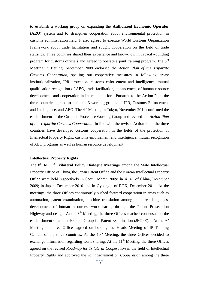to establish a working group on expanding the **Authorized Economic Operator (AEO)** system and to strengthen cooperation about environmental protection in customs administration field. It also agreed to execute World Customs Organization Framework about trade facilitation and sought cooperation on the field of trade statistics. Three countries shared their experience and know-how in capacity-building program for customs officials and agreed to operate a joint training program. The 3rd Meeting in Beijing, September 2009 endorsed the *Action Plan of the Tripartite Customs Cooperation*, spelling out cooperative measures in following areas: institutionalization, IPR protection, customs enforcement and intelligence, mutual qualification recognition of AEO, trade facilitation, enhancement of human resource development, and cooperation in international fora. Pursuant to the Action Plan, the three countries agreed to maintain 3 working groups on IPR, Customs Enforcement and Intelligence, and AEO. The  $4<sup>th</sup>$  Meeting in Tokyo, November 2011 confirmed the establishment of the Customs Procedure Working Group and revised the *Action Plan of the Tripartite Customs Cooperation*. In line with the revised Action Plan, the three countries have developed customs cooperation in the fields of the protection of Intellectual Property Right, customs enforcement and intelligence, mutual recognition of AEO programs as well as human resource development.

#### **Intellectual Property Rights**

The 8<sup>th</sup> to 11<sup>th</sup> **Trilateral Policy Dialogue Meetings** among the State Intellectual Property Office of China, the Japan Patent Office and the Korean Intellectual Property Office were held respectively in Seoul, March 2009; in Xi'an of China, December 2009; in Japan, December 2010 and in Gyeongju of ROK, December 2011. At the meetings, the three Offices continuously pushed forward cooperation in areas such as automation, patent examination, machine translation among the three languages, development of human resources, work-sharing through the Patent Prosecution Highway and design. At the  $8<sup>th</sup>$  Meeting, the three Offices reached consensus on the establishment of a Joint Experts Group for Patent Examination (JEGPE). At the 9<sup>th</sup> Meeting the three Offices agreed on holding the Heads Meeting of IP Training Centers of the three countries. At the  $10<sup>th</sup>$  Meeting, the three Offices decided to exchange information regarding work-sharing. At the  $11<sup>th</sup>$  Meeting, the three Offices agreed on the revised *Roadmap for Trilateral Cooperation* in the field of Intellectual Property Rights and approved the *Joint Statement on Cooperation* among the three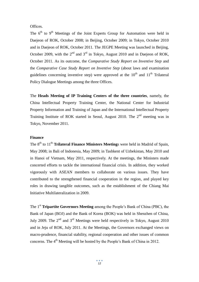Offices.

The  $6<sup>th</sup>$  to  $9<sup>th</sup>$  Meetings of the Joint Experts Group for Automation were held in Daejeon of ROK, October 2008; in Beijing, October 2009; in Tokyo, October 2010 and in Daejeon of ROK, October 2011. The JEGPE Meeting was launched in Beijing, October 2009, with the  $2^{nd}$  and  $3^{rd}$  in Tokyo, August 2010 and in Daejeon of ROK, October 2011. As its outcome, the *Comparative Study Report on Inventive Step* and the *Comparative Case Study Report on Inventive Step* (about laws and examination guidelines concerning inventive step) were approved at the  $10<sup>th</sup>$  and  $11<sup>th</sup>$  Trilateral Policy Dialogue Meetings among the three Offices.

The **Heads Meeting of IP Training Centers of the three countries**, namely, the China Intellectual Property Training Center, the National Center for Industrial Property Information and Training of Japan and the International Intellectual Property Training Institute of ROK started in Seoul, August 2010. The  $2<sup>nd</sup>$  meeting was in Tokyo, November 2011.

#### **Finance**

The 8<sup>th</sup> to 11<sup>th</sup> **Trilateral Finance Ministers Meeting**s were held in Madrid of Spain, May 2008; in Bali of Indonesia, May 2009; in Tashkent of Uzbekistan, May 2010 and in Hanoi of Vietnam, May 2011, respectively. At the meetings, the Ministers made concerted efforts to tackle the international financial crisis. In addition, they worked vigorously with ASEAN members to collaborate on various issues. They have contributed to the strengthened financial cooperation in the region, and played key roles in drawing tangible outcomes, such as the establishment of the Chiang Mai Initiative Multilateralization in 2009.

The 1<sup>st</sup> **Tripartite Governors Meeting** among the People's Bank of China (PBC), the Bank of Japan (BOJ) and the Bank of Korea (BOK) was held in Shenzhen of China, July 2009. The  $2<sup>nd</sup>$  and  $3<sup>rd</sup>$  Meetings were held respectively in Tokyo, August 2010 and in Jeju of ROK, July 2011. At the Meetings, the Governors exchanged views on macro-prudence, financial stability, regional cooperation and other issues of common concerns. The 4<sup>th</sup> Meeting will be hosted by the People's Bank of China in 2012.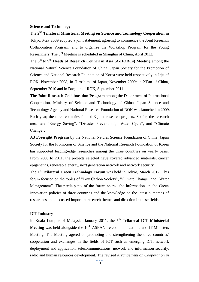#### **Science and Technology**

The 2nd **Trilateral Ministerial Meeting on Science and Technology Cooperation** in Tokyo, May 2009 adopted a joint statement, agreeing to commence the Joint Research Collaboration Program, and to organize the Workshop Program for the Young Researchers. The 3rd Meeting is scheduled in Shanghai of China, April 2012.

The 6<sup>th</sup> to 9<sup>th</sup> **Heads of Research Council in Asia (A-HORCs) Meeting** among the National Natural Science Foundation of China, Japan Society for the Promotion of Science and National Research Foundation of Korea were held respectively in Jeju of ROK, November 2008; in Hiroshima of Japan, November 2009; in Xi'an of China, September 2010 and in Daejeon of ROK, September 2011.

**The Joint Research Collaboration Program** among the Department of International Cooperation, Ministry of Science and Technology of China, Japan Science and Technology Agency and National Research Foundation of ROK was launched in 2009. Each year, the three countries funded 3 joint research projects. So far, the research areas are "Energy Saving", "Disaster Prevention", "Water Cycle", and "Climate Change".

**A3 Foresight Program** by the National Natural Science Foundation of China, Japan Society for the Promotion of Science and the National Research Foundation of Korea has supported leading-edge researches among the three countries on yearly basis. From 2008 to 2011, the projects selected have covered advanced materials, cancer epigenetics, renewable energy, next generation network and network security.

The 1<sup>st</sup> **Trilateral Green Technology Forum** was held in Tokyo, March 2012. This forum focused on the topics of "Low Carbon Society", "Climate Change" and "Water Management". The participants of the forum shared the information on the Green Innovation policies of three countries and the knowledge on the latest outcomes of researches and discussed important research themes and direction in these fields.

#### **ICT Industry**

In Kuala Lumpur of Malaysia, January 2011, the 5<sup>th</sup> Trilateral ICT Ministerial **Meeting** was held alongside the 10<sup>th</sup> ASEAN Telecommunications and IT Ministers Meeting. The Meeting agreed on promoting and strengthening the three countries' cooperation and exchanges in the fields of ICT such as emerging ICT, network deployment and application, telecommunications, network and information security, radio and human resources development. The revised *Arrangement on Cooperation in*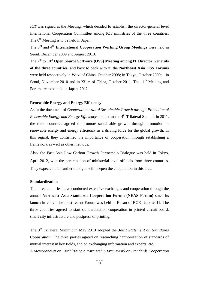*ICT* was signed at the Meeting, which decided to establish the director-general level International Cooperation Committee among ICT ministries of the three countries. The 6<sup>th</sup> Meeting is to be held in Japan.

The 3rd and 4th **International Cooperation Working Group Meetings** were held in Seoul, December 2009 and August 2010.

The 7<sup>th</sup> to 10<sup>th</sup> **Open Source Software (OSS) Meeting among IT Director Generals of the three countries**, and back to back with it, the **Northeast Asia OSS Forums** were held respectively in Wuxi of China, October 2008; in Tokyo, October 2009; in Seoul, November 2010 and in Xi'an of China, October 2011. The 11<sup>th</sup> Meeting and Forum are to be held in Japan, 2012.

#### **Renewable Energy and Energy Efficiency**

As in the document of *Cooperation toward Sustainable Growth through Promotion of Renewable Energy and Energy Efficiency* adopted at the 4<sup>th</sup> Trilateral Summit in 2011, the three countries agreed to promote sustainable growth through promotion of renewable energy and energy efficiency as a driving force for the global growth. In this regard, they confirmed the importance of cooperation through establishing a framework as well as other methods.

Also, the East Asia Low Carbon Growth Partnership Dialogue was held in Tokyo, April 2012, with the participation of ministerial level officials from three countries. They expected that further dialogue will deepen the cooperation in this area.

#### **Standardization**

The three countries have conducted extensive exchanges and cooperation through the annual **Northeast Asia Standards Cooperation Forum (NEAS Forum)** since its launch in 2002. The most recent Forum was held in Busan of ROK, June 2011. The three countries agreed to start standardization cooperation in printed circuit board, smart city infrastructure and postpress of printing.

The 3rd Trilateral Summit in May 2010 adopted the *Joint Statement on Standards Cooperation*. The three parties agreed on researching harmonization of standards of mutual interest in key fields, and on exchanging information and experts, etc. A *Memorandum on Establishing a Partnership Framework on Standards Cooperation*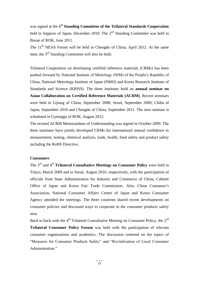was signed at the **1 st Standing Committee of the Trilateral Standards Cooperation** held in Sapporo of Japan, December 2010. The  $2<sup>nd</sup>$  Standing Committee was held in Busan of ROK, June 2011.

The  $11<sup>th</sup> NEAS$  Forum will be held in Chengdu of China, April 2012. At the same time, the  $3<sup>rd</sup>$  Standing Committee will also be held.

Trilateral Cooperation on developing certified reference materials (CRMs) has been pushed forward by National Institute of Metrology (NIM) of the People's Republic of China, National Metrology Institute of Japan (NMIJ) and Korea Research Institute of Standards and Science (KRISS). The three institutes hold an **annual seminar on Asian Collaboration on Certified Reference Materials (ACRM)**. Recent seminars were held in Lijiang of China, September 2008; Seoul, September 2009; Chiba of Japan, September 2010 and Chengdu of China, September 2011. The next seminar is scheduled in Gyeongju of ROK, August 2012.

The revised ACRM Memorandum of Understanding was signed in October 2009. The three institutes have jointly developed CRMs for international mutual confidence in measurement, testing, chemical analysis, trade, health, food safety and product safety including the RoHS Directive.

#### **Consumers**

The 3rd and 4th **Trilateral Consultative Meetings on Consumer Policy** were held in Tokyo, March 2009 and in Seoul, August 2010, respectively, with the participation of officials from State Administration for Industry and Commerce of China, Cabinet Office of Japan and Korea Fair Trade Commission. Also, China Consumer's Association, National Consumer Affairs Center of Japan and Korea Consumer Agency attended the meetings. The three countries shared recent developments on consumer policies and discussed ways to cooperate in the consumer products safety area.

Back to back with the  $4<sup>th</sup>$  Trilateral Consultative Meeting on Consumer Policy, the  $2<sup>nd</sup>$ **Trilateral Consumer Policy Forum** was held with the participation of relevant consumer organizations and academics. The discussion centered on the topics of "Measures for Consumer Products Safety" and "Revitalization of Local Consumer Administration<sup>"</sup>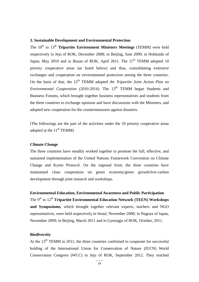#### **3. Sustainable Development and Environmental Protection**

The 10<sup>th</sup> to 13<sup>th</sup> **Tripartite Environment Ministers Meetings** (TEMM) were held respectively in Jeju of ROK, December 2008; in Beijing, June 2009; in Hokkaido of Japan, May 2010 and in Busan of ROK, April 2011. The  $11<sup>th</sup>$  TEMM adopted 10 priority cooperative areas (as listed below) and thus, consolidating extensive exchanges and cooperation on environmental protection among the three countries. On the basis of that, the 12<sup>th</sup> TEMM adopted *the Tripartite Joint Action Plan on Environmental Cooperation (2010-2014)*. The 13<sup>th</sup> TEMM began Students and Business Forums, which brought together business representatives and students from the three countries to exchange opinions and have discussions with the Ministers, and adopted new cooperation for the countermeasures against disasters.

(The followings are the part of the activities under the 10 priority cooperative areas adopted at the  $11<sup>th</sup>$  TEMM)

#### **Climate Change**

The three countries have steadily worked together to promote the full, effective, and sustained implementation of the United Nations Framework Convention on Climate Change and Kyoto Protocol*.* On the regional front, the three countries have maintained close cooperation on green economy/green growth/low-carbon development through joint research and workshops.

**Environmental Education, Environmental Awareness and Public Participation** The 9<sup>th</sup> to 12<sup>th</sup> **Tripartite Environmental Education Network (TEEN) Workshops and Symposiums**, which brought together relevant experts, teachers and NGO representatives, were held respectively in Seoul, November 2008; in Nagoya of Japan, November 2009; in Beijing, March 2011 and in Gyeongju of ROK, October, 2011.

#### **Biodiversity**

At the  $13<sup>th</sup>$  TEMM in 2011, the three countries confirmed to cooperate for successful holding of the International Union for Conservation of Nature (IUCN) World Conservation Congress (WCC) in Jeju of ROK, September 2012. They reached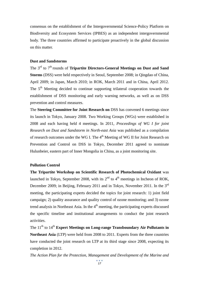consensus on the establishment of the Intergovernmental Science-Policy Platform on Biodiversity and Ecosystem Services (IPBES) as an independent intergovernmental body. The three countries affirmed to participate proactively in the global discussion on this matter.

#### **Dust and Sandstorms**

The 3<sup>rd</sup> to 7<sup>th</sup> rounds of **Tripartite Directors-General Meetings on Dust and Sand Storms** (DSS) were held respectively in Seoul, September 2008; in Qingdao of China, April 2009; in Japan, March 2010; in ROK, March 2011 and in China, April 2012. The  $5<sup>th</sup>$  Meeting decided to continue supporting trilateral cooperation towards the establishment of DSS monitoring and early warning networks, as well as on DSS prevention and control measures.

The **Steering Committee for Joint Research on** DSS has convened 6 meetings since its launch in Tokyo, January 2008. Two Working Groups (WGs) were established in 2008 and each having held 4 meetings. In 2011, *Proceedings of WG I for joint Research on Dust and Sandstorm in North-east Asia* was published as a compilation of research outcomes under the WG I. The 4<sup>th</sup> Meeting of WG II for Joint Research on Prevention and Control on DSS in Tokyo, December 2011 agreed to nominate Hulunbeier, eastern part of Inner Mongolia in China, as a joint monitoring site.

#### **Pollution Control**

**The Tripartite Workshop on Scientific Research of Photochemical Oxidant** was launched in Tokyo, September 2008, with its  $2<sup>nd</sup>$  to  $4<sup>th</sup>$  meetings in Incheon of ROK, December 2009; in Beijing, February 2011 and in Tokyo, November 2011. In the 3<sup>rd</sup> meeting, the participating experts decided the topics for joint research: 1) joint field campaign; 2) quality assurance and quality control of ozone monitoring; and 3) ozone trend analysis in Northeast Asia. In the 4<sup>th</sup> meeting, the participating experts discussed the specific timeline and institutional arrangements to conduct the joint research activities.

The 11<sup>th</sup> to 14<sup>th</sup> Expert Meetings on Long-range Transboundary Air Pollutants in **Northeast Asia** (LTP) were held from 2008 to 2011. Experts from the three countries have conducted the joint research on LTP at its third stage since 2008, expecting its completion in 2012.

*The Action Plan for the Protection, Management and Development of the Marine and*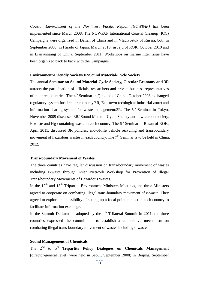*Coastal Environment of the Northwest Pacific Region (NOWPAP)* has been implemented since March 2008. The NOWPAP International Coastal Cleanup (ICC) Campaigns were organized in Dalian of China and in Vladivostok of Russia, both in September 2008; in Hirado of Japan, March 2010; in Jeju of ROK, October 2010 and in Lianyungang of China, September 2011. Workshops on marine litter issue have been organized back to back with the Campaigns.

#### **Environment-Friendly Society/3R/Sound Material-Cycle Society**

The annual **Seminar on Sound Material-Cycle Society, Circular Economy and 3R**  attracts the participation of officials, researchers and private business representatives of the three countries. The  $4<sup>th</sup>$  Seminar in Qingdao of China, October 2008 exchanged regulatory system for circular economy/3R, Eco-town (ecological industrial zone) and information sharing system for waste management/3R. The  $5<sup>th</sup>$  Seminar in Tokyo, November 2009 discussed 3R/ Sound Material-Cycle Society and low-carbon society, E-waste and Hg-containing waste in each country. The  $6<sup>th</sup>$  Seminar in Busan of ROK, April 2011, discussed 3R policies, end-of-life vehicle recycling and transboundary movement of hazardous wastes in each country. The  $7<sup>th</sup>$  Seminar is to be held in China, 2012.

#### **Trans-boundary Movement of Wastes**

The three countries have regular discussion on trans-boundary movement of wastes including E-waste through Asian Network Workshop for Prevention of Illegal Trans-boundary Movements of Hazardous Wastes.

In the  $12<sup>th</sup>$  and  $13<sup>th</sup>$  Tripartite Environment Ministers Meetings, the three Ministers agreed to cooperate on combating illegal trans-boundary movement of e-waste. They agreed to explore the possibility of setting up a focal point contact in each country to facilitate information exchange.

In the Summit Declaration adopted by the  $4<sup>th</sup>$  Trilateral Summit in 2011, the three countries expressed the commitment to establish a cooperative mechanism on combating illegal trans-boundary movement of wastes including e-waste.

#### **Sound Management of Chemicals**

The 2<sup>nd</sup> to 5<sup>th</sup> **Tripartite Policy Dialogues on Chemicals Management** (director-general level) were held in Seoul, September 2008; in Beijing, September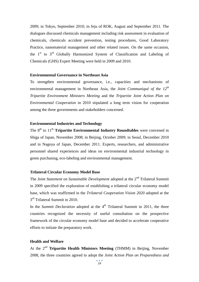2009; in Tokyo, September 2010; in Jeju of ROK, August and September 2011. The dialogues discussed chemicals management including risk assessment in evaluation of chemicals, chemicals accident prevention, testing procedures, Good Laboratory Practice, nanomaterial management and other related issues. On the same occasion, the  $1<sup>st</sup>$  to  $3<sup>rd</sup>$  Globally Harmonized System of Classification and Labeling of Chemicals (GHS) Expert Meeting were held in 2009 and 2010.

#### **Environmental Governance in Northeast Asia**

To strengthen environmental governance, i.e., capacities and mechanisms of environmental management in Northeast Asia, the *Joint Communiqué of the 12<sup>th</sup> Tripartite Environment Ministers Meeting* and the *Tripartite Joint Action Plan on Environmental Cooperation* in 2010 stipulated a long term vision for cooperation among the three governments and stakeholders concerned.

#### **Environmental Industries and Technology**

The 8<sup>th</sup> to 11<sup>th</sup> **Tripartite Environmental Industry Roundtables** were convened in Shiga of Japan, November 2008; in Beijing, October 2009; in Seoul, December 2010 and in Nagoya of Japan, December 2011. Experts, researchers, and administrative personnel shared experiences and ideas on environmental industrial technology in green purchasing, eco-labeling and environmental management.

#### **Trilateral Circular Economy Model Base**

The *Joint Statement on Sustainable Development* adopted at the 2nd Trilateral Summit in 2009 specified the exploration of establishing a trilateral circular economy model base, which was reaffirmed in the *Trilateral Cooperation Vision 2020* adopted at the 3<sup>rd</sup> Trilateral Summit in 2010.

In the *Summit Declaration* adopted at the 4<sup>th</sup> Trilateral Summit in 2011, the three countries recognized the necessity of useful consultation on the prospective framework of the circular economy model base and decided to accelerate cooperative efforts to initiate the preparatory work.

#### **Health and Welfare**

At the 2nd **Tripartite Health Ministers Meeting** (THMM) in Beijing, November 2008, the three countries agreed to adopt the *Joint Action Plan on Preparedness and*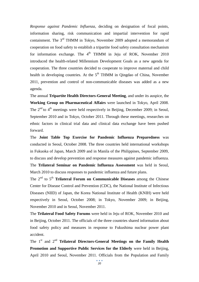*Response against Pandemic Influenza*, deciding on designation of focal points, information sharing, risk communication and impartial intervention for rapid containment. The 3rd THMM in Tokyo, November 2009 adopted a memorandum of cooperation on food safety to establish a tripartite food safety consultation mechanism for information exchange. The  $4<sup>th</sup>$  THMM in Jeju of ROK, November 2010 introduced the health-related Millennium Development Goals as a new agenda for cooperation. The three countries decided to cooperate to improve maternal and child health in developing countries. At the  $5<sup>th</sup>$  THMM in Oingdao of China, November 2011, prevention and control of non-communicable diseases was added as a new agenda.

The annual **Tripartite Health Directors-General Meeting**, and under its auspice, the **Working Group on Pharmaceutical Affairs** were launched in Tokyo, April 2008. The  $2<sup>nd</sup>$  to  $4<sup>th</sup>$  meetings were held respectively in Beijing, December 2009; in Seoul, September 2010 and in Tokyo, October 2011. Through these meetings, researches on ethnic factors in clinical trial data and clinical data exchange have been pushed forward.

The **Joint Table Top Exercise for Pandemic Influenza Preparedness** was conducted in Seoul, October 2008. The three countries held international workshops in Fukuoka of Japan, March 2009 and in Manila of the Philippines, September 2009, to discuss and develop prevention and response measures against pandemic influenza. The **Trilateral Seminar on Pandemic Influenza Assessment** was held in Seoul, March 2010 to discuss responses to pandemic influenza and future plans.

The 2nd to 5th **Trilateral Forum on Communicable Diseases** among the Chinese Center for Disease Control and Prevention (CDC), the National Institute of Infectious Diseases (NIID) of Japan, the Korea National Institute of Health (KNIH) were held respectively in Seoul, October 2008; in Tokyo, November 2009; in Beijing, November 2010 and in Seoul, November 2011.

The **Trilateral Food Safety Forums** were held in Jeju of ROK, November 2010 and in Beijing, October 2011. The officials of the three countries shared information about food safety policy and measures in response to Fukushima nuclear power plant accident.

The 1<sup>st</sup> and 2<sup>nd</sup> **Trilateral Directors-General Meetings on the Family Health Promotion and Supportive Public Services for the Elderly** were held in Beijing. April 2010 and Seoul, November 2011. Officials from the Population and Family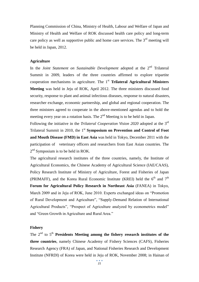Planning Commission of China, Ministry of Health, Labour and Welfare of Japan and Ministry of Health and Welfare of ROK discussed health care policy and long-term care policy as well as supportive public and home care services. The  $3<sup>rd</sup>$  meeting will be held in Japan, 2012.

#### **Agriculture**

In the *Joint Statement on Sustainable Development* adopted at the 2<sup>nd</sup> Trilateral Summit in 2009, leaders of the three countries affirmed to explore tripartite cooperation mechanisms in agriculture. The 1<sup>st</sup> **Trilateral Agricultural Ministers Meeting** was held in Jeju of ROK, April 2012. The three ministers discussed food security, response to plant and animal infectious diseases, response to natural disasters, researcher exchange, economic partnership, and global and regional cooperation. The three ministers agreed to cooperate in the above-mentioned agendas and to hold the meeting every year on a rotation basis. The  $2<sup>nd</sup>$  Meeting is to be held in Japan.

Following the initiative in the *Trilateral Cooperation Vision 2020* adopted at the 3rd Trilateral Summit in 2010, the 1<sup>st</sup> **Symposium on Prevention and Control of Foot and Mouth Disease (FMD) in East Asia** was held in Tokyo, December 2011 with the participation of veterinary officers and researchers from East Asian countries. The 2<sup>nd</sup> Symposium is to be held in ROK.

The agricultural research institutes of the three countries, namely, the Institute of Agricultural Economics, the Chinese Academy of Agricultural Science (IAE/CAAS), Policy Research Institute of Ministry of Agriculture, Forest and Fisheries of Japan (PRIMAFF), and the Korea Rural Economic Institute (KREI) held the  $6<sup>th</sup>$  and  $7<sup>th</sup>$ **Forum for Agricultural Policy Research in Northeast Asia** (FANEA) in Tokyo, March 2009 and in Jeju of ROK, June 2010. Experts exchanged ideas on "Promotion of Rural Development and Agriculture", "Supply-Demand Relation of International Agricultural Products", "Prospect of Agriculture analyzed by econometrics model" and "Green Growth in Agriculture and Rural Area."

#### **Fishery**

The  $2<sup>nd</sup>$  to  $5<sup>th</sup>$  **Presidents Meeting among the fishery research institutes of the three countries**, namely Chinese Academy of Fishery Sciences (CAFS), Fisheries Research Agency (FRA) of Japan, and National Fisheries Research and Development Institute (NFRDI) of Korea were held in Jeju of ROK, November 2008; in Hainan of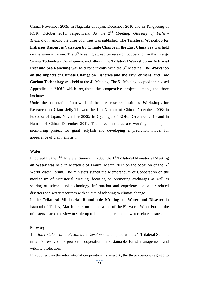China, November 2009; in Nagasaki of Japan, December 2010 and in Tongyeong of ROK, October 2011, respectively. At the 2nd Meeting, *Glossary of Fishery Terminology* among the three countries was published. The **Trilateral Workshop for Fisheries Resources Variation by Climate Change in the East China Sea** was held on the same occasion. The  $3<sup>rd</sup>$  Meeting agreed on research cooperation in the Energy Saving Technology Development and others. The **Trilateral Workshop on Artificial Reef and Sea Ranching** was held concurrently with the 3<sup>rd</sup> Meeting. The **Workshop on the Impacts of Climate Change on Fisheries and the Environment, and Low Carbon Technology** was held at the  $4<sup>th</sup>$  Meeting. The  $5<sup>th</sup>$  Meeting adopted the revised Appendix of MOU which regulates the cooperative projects among the three institutes.

Under the cooperation framework of the three research institutes, **Workshops for Research on Giant Jellyfish** were held in Xiamen of China, December 2008; in Fukuoka of Japan, November 2009; in Gyeongju of ROK, December 2010 and in Hainan of China, December 2011. The three institutes are working on the joint monitoring project for giant jellyfish and developing a prediction model for appearance of giant jellyfish.

#### **Water**

Endorsed by the 2<sup>nd</sup> Trilateral Summit in 2009, the 1<sup>st</sup> Trilateral Ministerial Meeting **on Water** was held in Marseille of France, March 2012 on the occasion of the 6<sup>th</sup> World Water Forum. The ministers signed the Memorandum of Cooperation on the mechanism of Ministerial Meeting, focusing on promoting exchanges as well as sharing of science and technology, information and experience on water related disasters and water resources with an aim of adapting to climate change.

In the **Trilateral Ministerial Roundtable Meeting on Water and Disaster** in Istanbul of Turkey, March 2009, on the occasion of the  $5<sup>th</sup>$  World Water Forum, the ministers shared the view to scale up trilateral cooperation on water-related issues.

#### **Forestry**

The *Joint Statement on Sustainable Development* adopted at the 2<sup>nd</sup> Trilateral Summit in 2009 resolved to promote cooperation in sustainable forest management and wildlife protection.

In 2008, within the international cooperation framework, the three countries agreed to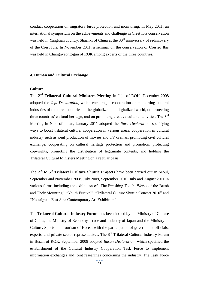conduct cooperation on migratory birds protection and monitoring. In May 2011, an international symposium on the achievements and challenge in Crest Ibis conservation was held in Yangxian country, Shaanxi of China at the  $30<sup>th</sup>$  anniversary of rediscovery of the Crest Ibis. In November 2011, a seminar on the conservation of Crested Ibis was held in Changnyeong-gun of ROK among experts of the three countries.

#### **4. Human and Cultural Exchange**

#### **Culture**

The 2nd **Trilateral Cultural Ministers Meeting** in Jeju of ROK, December 2008 adopted the *Jeju Declaration*, which encouraged cooperation on supporting cultural industries of the three countries in the globalized and digitalized world, on protecting three countries' cultural heritage, and on promoting creative cultural activities. The 3<sup>rd</sup> Meeting in Nara of Japan, January 2011 adopted the *Nara Declaration*, specifying ways to boost trilateral cultural cooperation in various areas: cooperation in cultural industry such as joint production of movies and TV dramas, promoting civil cultural exchange, cooperating on cultural heritage protection and promotion, protecting copyrights, promoting the distribution of legitimate contents, and holding the Trilateral Cultural Ministers Meeting on a regular basis.

The 2nd to 5th **Trilateral Culture Shuttle Projects** have been carried out in Seoul, September and November 2008, July 2009, September 2010, July and August 2011 in various forms including the exhibition of "The Finishing Touch, Works of the Brush and Their Mounting", "Youth Festival", "Trilateral Culture Shuttle Concert 2010" and "Nostalgia – East Asia Contemporary Art Exhibition".

The **Trilateral Cultural Industry Forum** has been hosted by the Ministry of Culture of China, the Ministry of Economy, Trade and Industry of Japan and the Ministry of Culture, Sports and Tourism of Korea, with the participation of government officials, experts, and private sector representatives. The  $8<sup>th</sup>$  Trilateral Cultural Industry Forum in Busan of ROK, September 2009 adopted *Busan Declaration*, which specified the establishment of the Cultural Industry Cooperation Task Force to implement information exchanges and joint researches concerning the industry. The Task Force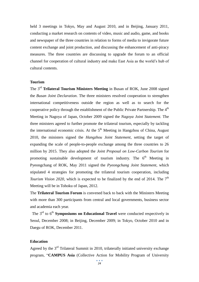held 3 meetings in Tokyo, May and August 2010, and in Beijing, January 2011, conducting a market research on contents of video, music and audio, game, and books and newspaper of the three countries in relation to forms of media to invigorate future content exchange and joint production, and discussing the enhancement of anti-piracy measures. The three countries are discussing to upgrade the forum to an official channel for cooperation of cultural industry and make East Asia as the world's hub of cultural contents.

#### **Tourism**

The 3rd **Trilateral Tourism Ministers Meeting** in Busan of ROK, June 2008 signed the *Busan Joint Declaration*. The three ministers resolved cooperation to strengthen international competitiveness outside the region as well as to search for the cooperative policy through the establishment of the Public Private Partnership. The  $4^{\text{th}}$ Meeting in Nagoya of Japan, October 2009 signed the *Nagoya Joint Statement.* The three ministers agreed to further promote the trilateral tourism, especially by tackling the international economic crisis. At the  $5<sup>th</sup>$  Meeting in Hangzhou of China, August 2010, the ministers signed the *Hangzhou Joint Statement*, setting the target of expanding the scale of people-to-people exchange among the three countries to 26 million by 2015. They also adopted the *Joint Proposal on Low-Carbon Tourism* for promoting sustainable development of tourism industry. The  $6<sup>th</sup>$  Meeting in Pyeongchang of ROK, May 2011 signed the *Pyeongchang Joint Statement,* which stipulated 4 strategies for promoting the trilateral tourism cooperation, including *Tourism Vision 2020*, which is expected to be finalized by the end of 2014. The 7<sup>th</sup> Meeting will be in Tohoku of Japan, 2012.

The **Trilateral Tourism Forum** is convened back to back with the Ministers Meeting with more than 300 participants from central and local governments, business sector and academia each year.

The 3<sup>rd</sup> to 6<sup>th</sup> **Symposiums on Educational Travel** were conducted respectively in Seoul, December 2008; in Beijing, December 2009; in Tokyo, October 2010 and in Daegu of ROK, December 2011.

#### **Education**

Agreed by the  $3<sup>rd</sup>$  Trilateral Summit in 2010, trilaterally initiated university exchange program, "**CAMPUS Asia** (Collective Action for Mobility Program of University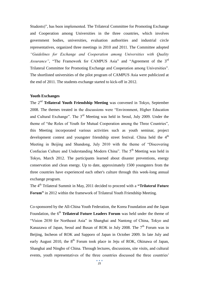Students)", has been implemented. The Trilateral Committee for Promoting Exchange and Cooperation among Universities in the three countries, which involves government bodies, universities, evaluation authorities and industrial circle representatives, organized three meetings in 2010 and 2011. The Committee adopted *"Guidelines for Exchange and Cooperation among Universities with Quality*  Assurance", "The Framework for CAMPUS Asia" and "Agreement of the 3<sup>rd</sup> Trilateral Committee for Promoting Exchange and Cooperation among Universities". The shortlisted universities of the pilot program of CAMPUS Asia were publicized at the end of 2011. The students exchange started to kick-off in 2012.

#### **Youth Exchanges**

The 2nd **Trilateral Youth Friendship Meeting** was convened in Tokyo, September 2008. The themes treated in the discussions were "Environment, Higher Education and Cultural Exchange". The 3rd Meeting was held in Seoul, July 2009. Under the theme of "the Roles of Youth for Mutual Cooperation among the Three Countries", this Meeting incorporated various activities such as youth seminar, project development contest and youngster friendship street festival. China held the  $4<sup>th</sup>$ Meeting in Beijing and Shandong, July 2010 with the theme of "Discovering Confucian Culture and Understanding Modern China". The 5<sup>th</sup> Meeting was held in Tokyo, March 2012. The participants learned about disaster preventions, energy conservation and clean energy. Up to date, approximately 1500 youngsters from the three countries have experienced each other's culture through this week-long annual exchange program.

The 4<sup>th</sup> Trilateral Summit in May, 2011 decided to proceed with a "Trilateral Future" **Forum"** in 2012 within the framework of Trilateral Youth Friendship Meeting.

Co-sponsored by the All-China Youth Federation, the Korea Foundation and the Japan Foundation, the 6<sup>th</sup> **Trilateral Future Leaders Forum** was held under the theme of "Vision 2030 for Northeast Asia" in Shanghai and Nantong of China, Tokyo and Kanazawa of Japan, Seoul and Busan of ROK in July 2008. The  $7<sup>th</sup>$  Forum was in Beijing, Incheon of ROK and Sapporo of Japan in October 2009. In late July and early August 2010, the  $8<sup>th</sup>$  Forum took place in Jeju of ROK, Okinawa of Japan, Shanghai and Ningbo of China. Through lectures, discussions, site visits, and cultural events, youth representatives of the three countries discussed the three countries'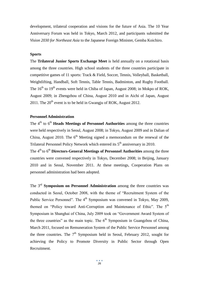development, trilateral cooperation and visions for the future of Asia. The 10 Year Anniversary Forum was held in Tokyo, March 2012, and participants submitted the *Vision 2030 for Northeast Asia* to the Japanese Foreign Minister, Gemba Koichiro.

#### **Sports**

The **Trilateral Junior Sports Exchange Meet** is held annually on a rotational basis among the three countries. High school students of the three countries participate in competitive games of 11 sports: Track & Field, Soccer, Tennis, Volleyball, Basketball, Weightlifting, Handball, Soft Tennis, Table Tennis, Badminton, and Rugby Football. The  $16<sup>th</sup>$  to  $19<sup>th</sup>$  events were held in Chiba of Japan, August 2008; in Mokpo of ROK, August 2009; in Zhengzhou of China, August 2010 and in Aichi of Japan, August 2011. The  $20^{th}$  event is to be held in Gwangju of ROK, August 2012.

#### **Personnel Administration**

The 4<sup>th</sup> to 6<sup>th</sup> **Heads Meetings of Personnel Authorities** among the three countries were held respectively in Seoul, August 2008; in Tokyo, August 2009 and in Dalian of China, August 2010. The  $6<sup>th</sup>$  Meeting signed a memorandum on the renewal of the Trilateral Personnel Policy Network which entered its  $5<sup>th</sup>$  anniversary in 2010.

The 4<sup>th</sup> to 6<sup>th</sup> Directors-General Meetings of Personnel Authorities among the three countries were convened respectively in Tokyo, December 2008; in Beijing, January 2010 and in Seoul, November 2011. At these meetings, Cooperation Plans on personnel administration had been adopted.

The 3<sup>rd</sup> **Symposium on Personnel Administration** among the three countries was conducted in Seoul, October 2008, with the theme of "Recruitment System of the Public Service Personnel". The 4<sup>th</sup> Symposium was convened in Tokyo, May 2009, themed on "Policy toward Anti-Corruption and Maintenance of Ethic". The 5<sup>th</sup> Symposium in Shanghai of China, July 2009 took on "Government Award System of the three countries" as the main topic. The  $6<sup>th</sup>$  Symposium in Guangzhou of China, March 2011, focused on Remuneration System of the Public Service Personnel among the three countries. The  $7<sup>th</sup>$  Symposium held in Seoul, February 2012, sought for achieving the Policy to Promote Diversity in Public Sector through Open Recruitment.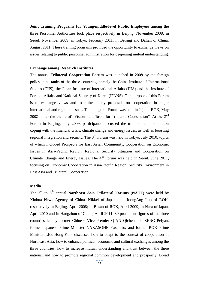**Joint Training Programs for Young/middle-level Public Employees** among the three Personnel Authorities took place respectively in Beijing, November 2008; in Seoul, November 2009; in Tokyo, February 2011; in Beijing and Dalian of China, August 2011. These training programs provided the opportunity to exchange views on issues relating to public personnel administration for deepening mutual understanding.

#### **Exchange among Research Institutes**

The annual **Trilateral Cooperation Forum** was launched in 2008 by the foreign policy think tanks of the three countries, namely the China Institute of International Studies (CIIS), the Japan Institute of International Affairs (JIIA) and the Institute of Foreign Affairs and National Security of Korea (IFANS). The purpose of this Forum is to exchange views and to make policy proposals on cooperation in major international and regional issues. The inaugural Forum was held in Jeju of ROK, May 2008 under the theme of "Visions and Tasks for Trilateral Cooperation". At the 2<sup>nd</sup> Forum in Beijing, July 2009, participants discussed the trilateral cooperation on coping with the financial crisis, climate change and energy issues, as well as boosting regional integration and security. The 3<sup>rd</sup> Forum was held in Tokyo, July 2010, topics of which included Prospects for East Asian Community, Cooperation on Economic Issues in Asia-Pacific Region, Regional Security Situation and Cooperation on Climate Change and Energy Issues. The  $4<sup>th</sup>$  Forum was held in Seoul, June 2011, focusing on Economic Cooperation in Asia-Pacific Region, Security Environment in East Asia and Trilateral Cooperation.

#### **Media**

The 3<sup>rd</sup> to 6<sup>th</sup> annual **Northeast Asia Trilateral Forums (NATF)** were held by Xinhua News Agency of China, Nikkei of Japan, and JoongAng Ilbo of ROK, respectively in Beijing, April 2008; in Busan of ROK, April 2009; in Nara of Japan, April 2010 and in Hangzhou of China, April 2011. 30 prominent figures of the three countries led by former Chinese Vice Premier QIAN Qichen and ZENG Peiyan, former Japanese Prime Minister NAKASONE Yasuhiro, and former ROK Prime Minister LEE Hong-Koo, discussed how to adapt to the context of cooperation of Northeast Asia; how to enhance political, economic and cultural exchanges among the three countries; how to increase mutual understanding and trust between the three nations; and how to promote regional common development and prosperity. Broad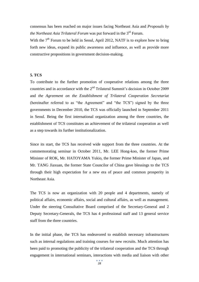consensus has been reached on major issues facing Northeast Asia and *Proposals by the Northeast Asia Trilateral Forum* was put forward in the 3<sup>rd</sup> Forum.

With the  $7<sup>th</sup>$  Forum to be held in Seoul, April 2012, NATF is to explore how to bring forth new ideas, expand its public awareness and influence, as well as provide more constructive propositions in government decision-making.

#### **5. TCS**

To contribute to the further promotion of cooperative relations among the three countries and in accordance with the  $2<sup>nd</sup>$  Trilateral Summit's decision in October 2009 and *the Agreement on the Establishment of Trilateral Cooperation Secretariat*  (hereinafter referred to as "the Agreement" and "the TCS") signed by the three governments in December 2010, the TCS was officially launched in September 2011 in Seoul. Being the first international organization among the three countries, the establishment of TCS constitutes an achievement of the trilateral cooperation as well as a step towards its further institutionalization.

Since its start, the TCS has received wide support from the three countries. At the commemorating seminar in October 2011, Mr. LEE Hong-koo, the former Prime Minister of ROK, Mr. HATOYAMA Yukio, the former Prime Minister of Japan, and Mr. TANG Jiaxuan, the former State Councilor of China gave blessings to the TCS through their high expectation for a new era of peace and common prosperity in Northeast Asia.

The TCS is now an organization with 20 people and 4 departments, namely of political affairs, economic affairs, social and cultural affairs, as well as management. Under the steering Consultative Board comprised of the Secretary-General and 2 Deputy Secretary-Generals, the TCS has 4 professional staff and 13 general service staff from the three countries.

In the initial phase, the TCS has endeavored to establish necessary infrastructures such as internal regulations and training courses for new recruits. Much attention has been paid to promoting the publicity of the trilateral cooperation and the TCS through engagement in international seminars, interactions with media and liaison with other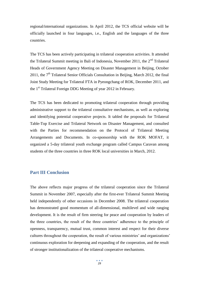regional/international organizations. In April 2012, the TCS official website will be officially launched in four languages, i.e., English and the languages of the three countries.

The TCS has been actively participating in trilateral cooperation activities. It attended the Trilateral Summit meeting in Bali of Indonesia, November 2011, the  $2<sup>nd</sup>$  Trilateral Heads of Government Agency Meeting on Disaster Management in Beijing, October 2011, the  $7<sup>th</sup>$  Trilateral Senior Officials Consultation in Beijing, March 2012, the final Joint Study Meeting for Trilateral FTA in Pyeongchang of ROK, December 2011, and the 1<sup>st</sup> Trilateral Foreign DDG Meeting of year 2012 in February.

The TCS has been dedicated to promoting trilateral cooperation through providing administrative support to the trilateral consultative mechanisms, as well as exploring and identifying potential cooperative projects. It tabled the proposals for Trilateral Table-Top Exercise and Trilateral Network on Disaster Management, and consulted with the Parties for recommendation on the Protocol of Trilateral Meeting Arrangements and Documents. In co-sponsorship with the ROK MOFAT, it organized a 5-day trilateral youth exchange program called Campus Caravan among students of the three countries in three ROK local universities in March, 2012.

#### **Part III Conclusion**

The above reflects major progress of the trilateral cooperation since the Trilateral Summit in November 2007, especially after the first-ever Trilateral Summit Meeting held independently of other occasions in December 2008. The trilateral cooperation has demonstrated good momentum of all-dimensional, multilevel and wide ranging development. It is the result of firm steering for peace and cooperation by leaders of the three countries, the result of the three countries' adherence to the principle of openness, transparency, mutual trust, common interest and respect for their diverse cultures throughout the cooperation, the result of various ministries' and organizations' continuous exploration for deepening and expanding of the cooperation, and the result of stronger institutionalization of the trilateral cooperative mechanisms.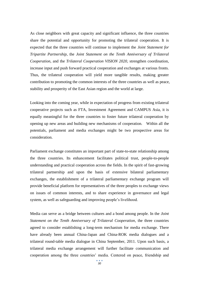As close neighbors with great capacity and significant influence, the three countries share the potential and opportunity for promoting the trilateral cooperation. It is expected that the three countries will continue to implement the *Joint Statement for Tripartite Partnership*, the *Joint Statement on the Tenth Anniversary of Trilateral Cooperation*, and the *Trilateral Cooperation VISION 2020*, strengthen coordination, increase input and push forward practical cooperation and exchanges at various fronts. Thus, the trilateral cooperation will yield more tangible results, making greater contribution to promoting the common interests of the three countries as well as peace, stability and prosperity of the East Asian region and the world at large.

Looking into the coming year, while in expectation of progress from existing trilateral cooperative projects such as FTA, Investment Agreement and CAMPUS Asia, it is equally meaningful for the three countries to foster future trilateral cooperation by opening up new areas and building new mechanisms of cooperation. Within all the potentials, parliament and media exchanges might be two prospective areas for consideration.

Parliament exchange constitutes an important part of state-to-state relationship among the three countries. Its enhancement facilitates political trust, people-to-people understanding and practical cooperation across the fields. In the spirit of fast-growing trilateral partnership and upon the basis of extensive bilateral parliamentary exchanges, the establishment of a trilateral parliamentary exchange program will provide beneficial platform for representatives of the three peoples to exchange views on issues of common interests, and to share experience in governance and legal system, as well as safeguarding and improving people's livelihood.

Media can serve as a bridge between cultures and a bond among people. In the *Joint Statement on the Tenth Anniversary of Trilateral Cooperation*, the three countries agreed to consider establishing a long-term mechanism for media exchange. There have already been annual China-Japan and China-ROK media dialogues and a trilateral round-table media dialogue in China September, 2011. Upon such basis, a trilateral media exchange arrangement will further facilitate communication and cooperation among the three countries' media. Centered on peace, friendship and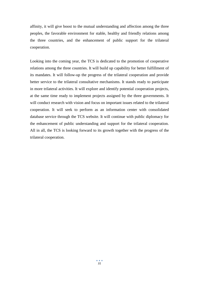affinity, it will give boost to the mutual understanding and affection among the three peoples, the favorable environment for stable, healthy and friendly relations among the three countries, and the enhancement of public support for the trilateral cooperation.

Looking into the coming year, the TCS is dedicated to the promotion of cooperative relations among the three countries. It will build up capability for better fulfillment of its mandates. It will follow-up the progress of the trilateral cooperation and provide better service to the trilateral consultative mechanisms. It stands ready to participate in more trilateral activities. It will explore and identify potential cooperation projects, at the same time ready to implement projects assigned by the three governments. It will conduct research with vision and focus on important issues related to the trilateral cooperation. It will seek to perform as an information center with consolidated database service through the TCS website. It will continue with public diplomacy for the enhancement of public understanding and support for the trilateral cooperation. All in all, the TCS is looking forward to its growth together with the progress of the trilateral cooperation.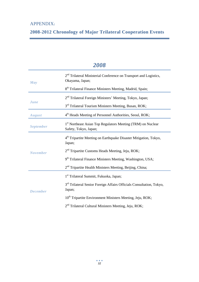| May              | 2 <sup>nd</sup> Trilateral Ministerial Conference on Transport and Logistics,<br>Okayama, Japan; |
|------------------|--------------------------------------------------------------------------------------------------|
|                  | 8 <sup>th</sup> Trilateral Finance Ministers Meeting, Madrid, Spain;                             |
| <b>June</b>      | 2 <sup>nd</sup> Trilateral Foreign Ministers' Meeting, Tokyo, Japan;                             |
|                  | 3 <sup>rd</sup> Trilateral Tourism Ministers Meeting, Busan, ROK;                                |
| <b>August</b>    | 4 <sup>th</sup> Heads Meeting of Personnel Authorities, Seoul, ROK;                              |
| <b>September</b> | 1st Northeast Asian Top Regulators Meeting (TRM) on Nuclear<br>Safety, Tokyo, Japan;             |
|                  | 4 <sup>th</sup> Tripartite Meeting on Earthquake Disaster Mitigation, Tokyo,<br>Japan;           |
| <b>November</b>  | 2 <sup>nd</sup> Tripartite Customs Heads Meeting, Jeju, ROK;                                     |
|                  | 9 <sup>th</sup> Trilateral Finance Ministers Meeting, Washington, USA;                           |
|                  | 2 <sup>nd</sup> Tripartite Health Ministers Meeting, Beijing, China;                             |
|                  | 1 <sup>st</sup> Trilateral Summit, Fukuoka, Japan;                                               |
| <b>December</b>  | 3 <sup>rd</sup> Trilateral Senior Foreign Affairs Officials Consultation, Tokyo,<br>Japan;       |
|                  | 10 <sup>th</sup> Tripartite Environment Ministers Meeting, Jeju, ROK;                            |
|                  | 2 <sup>nd</sup> Trilateral Cultural Ministers Meeting, Jeju, ROK;                                |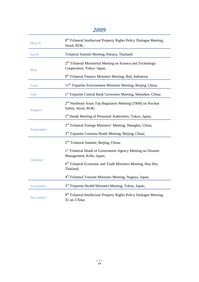### *2009*

| <b>March</b>     | 8 <sup>th</sup> Trilateral Intellectual Property Rights Policy Dialogue Meeting,<br>Seoul, ROK;                                                                                 |
|------------------|---------------------------------------------------------------------------------------------------------------------------------------------------------------------------------|
| <b>April</b>     | Trilateral Summit Meeting, Pattaya, Thailand;                                                                                                                                   |
| May              | 2 <sup>nd</sup> Trilateral Ministerial Meeting on Science and Technology<br>Cooperation, Tokyo, Japan;<br>9 <sup>th</sup> Trilateral Finance Ministers Meeting, Bali, Indonesia |
| <b>June</b>      | 11 <sup>th</sup> Tripartite Environment Ministers Meeting, Beijing, China;                                                                                                      |
| July             | 1 <sup>st</sup> Tripartite Central Bank Governors Meeting, Shenzhen, China;                                                                                                     |
| <b>August</b>    | 2 <sup>nd</sup> Northeast Asian Top Regulators Meeting (TRM) on Nuclear<br>Safety, Seoul, ROK;                                                                                  |
|                  | 5 <sup>th</sup> Heads Meeting of Personnel Authorities, Tokyo, Japan;                                                                                                           |
| <b>September</b> | 3 <sup>rd</sup> Trilateral Foreign Ministers' Meeting, Shanghai, China;                                                                                                         |
|                  | 3 <sup>rd</sup> Tripartite Customs Heads Meeting, Beijing, China;                                                                                                               |
|                  | 2 <sup>nd</sup> Trilateral Summit, Beijing, China;                                                                                                                              |
|                  | 1 <sup>st</sup> Trilateral Heads of Government Agency Meeting on Disaster<br>Management, Kobe, Japan;                                                                           |
| <b>October</b>   | 6 <sup>th</sup> Trilateral Economic and Trade Ministers Meeting, Hua Hin,<br>Thailand;                                                                                          |
|                  | 4 <sup>th</sup> Trilateral Tourism Ministers Meeting, Nagoya, Japan;                                                                                                            |
| <b>November</b>  | 3 <sup>rd</sup> Tripartite Health Ministers Meeting, Tokyo, Japan;                                                                                                              |
| <b>December</b>  | 9 <sup>th</sup> Trilateral Intellectual Property Rights Policy Dialogue Meeting,<br>Xi'an, China;                                                                               |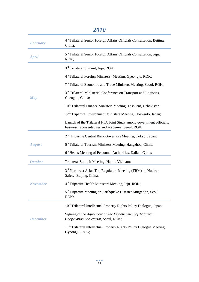## *2010*

| <b>February</b> | 4 <sup>th</sup> Trilateral Senior Foreign Affairs Officials Consultation, Beijing,<br>China;                               |
|-----------------|----------------------------------------------------------------------------------------------------------------------------|
| <b>April</b>    | 5 <sup>th</sup> Trilateral Senior Foreign Affairs Officials Consultation, Jeju,<br>ROK;                                    |
|                 | 3 <sup>rd</sup> Trilateral Summit, Jeju, ROK;                                                                              |
|                 | 4 <sup>th</sup> Trilateral Foreign Ministers' Meeting, Gyeongju, ROK;                                                      |
|                 | 7 <sup>th</sup> Trilateral Economic and Trade Ministers Meeting, Seoul, ROK;                                               |
| May             | 3 <sup>rd</sup> Trilateral Ministerial Conference on Transport and Logistics,<br>Chengdu, China;                           |
|                 | 10 <sup>th</sup> Trilateral Finance Ministers Meeting, Tashkent, Uzbekistan;                                               |
|                 | 12 <sup>th</sup> Tripartite Environment Ministers Meeting, Hokkaido, Japan;                                                |
|                 | Launch of the Trilateral FTA Joint Study among government officials,<br>business representatives and academia, Seoul, ROK; |
|                 | 2 <sup>nd</sup> Tripartite Central Bank Governors Meeting, Tokyo, Japan;                                                   |
| <b>August</b>   | 5 <sup>th</sup> Trilateral Tourism Ministers Meeting, Hangzhou, China;                                                     |
|                 | 6 <sup>th</sup> Heads Meeting of Personnel Authorities, Dalian, China;                                                     |
| <b>October</b>  | Trilateral Summit Meeting, Hanoi, Vietnam;                                                                                 |
|                 | 3rd Northeast Asian Top Regulators Meeting (TRM) on Nuclear<br>Safety, Beijing, China;                                     |
| <b>November</b> | 4 <sup>th</sup> Tripartite Health Ministers Meeting, Jeju, ROK;                                                            |
|                 | 5 <sup>th</sup> Tripartite Meeting on Earthquake Disaster Mitigation, Seoul,<br>ROK;                                       |
|                 | 10 <sup>th</sup> Trilateral Intellectual Property Rights Policy Dialogue, Japan;                                           |
| <b>December</b> | Signing of the Agreement on the Establishment of Trilateral<br>Cooperation Secretariat, Seoul, ROK;                        |
|                 | 11 <sup>th</sup> Trilateral Intellectual Property Rights Policy Dialogue Meeting,<br>Gyeongju, ROK;                        |